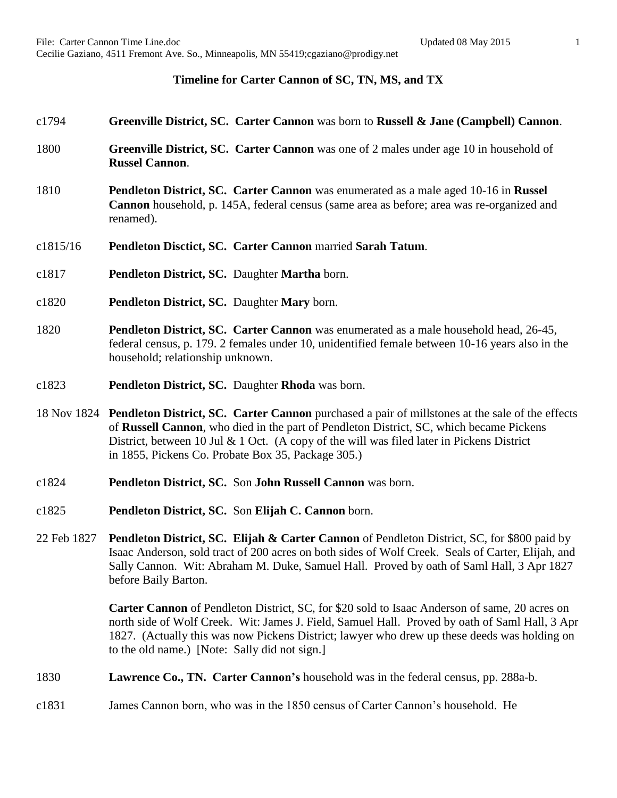## **Timeline for Carter Cannon of SC, TN, MS, and TX**

## c1794 **Greenville District, SC. Carter Cannon** was born to **Russell & Jane (Campbell) Cannon**.

- 1800 **Greenville District, SC. Carter Cannon** was one of 2 males under age 10 in household of **Russel Cannon**.
- 1810 **Pendleton District, SC. Carter Cannon** was enumerated as a male aged 10-16 in **Russel Cannon** household, p. 145A, federal census (same area as before; area was re-organized and renamed).
- c1815/16 **Pendleton Disctict, SC. Carter Cannon** married **Sarah Tatum**.
- c1817 **Pendleton District, SC.** Daughter **Martha** born.
- c1820 **Pendleton District, SC.** Daughter **Mary** born.
- 1820 **Pendleton District, SC. Carter Cannon** was enumerated as a male household head, 26-45, federal census, p. 179. 2 females under 10, unidentified female between 10-16 years also in the household; relationship unknown.
- c1823 **Pendleton District, SC.** Daughter **Rhoda** was born.
- 18 Nov 1824 **Pendleton District, SC. Carter Cannon** purchased a pair of millstones at the sale of the effects of **Russell Cannon**, who died in the part of Pendleton District, SC, which became Pickens District, between 10 Jul & 1 Oct. (A copy of the will was filed later in Pickens District in 1855, Pickens Co. Probate Box 35, Package 305.)
- c1824 **Pendleton District, SC.** Son **John Russell Cannon** was born.
- c1825 **Pendleton District, SC.** Son **Elijah C. Cannon** born.
- 22 Feb 1827 **Pendleton District, SC. Elijah & Carter Cannon** of Pendleton District, SC, for \$800 paid by Isaac Anderson, sold tract of 200 acres on both sides of Wolf Creek. Seals of Carter, Elijah, and Sally Cannon. Wit: Abraham M. Duke, Samuel Hall. Proved by oath of Saml Hall, 3 Apr 1827 before Baily Barton.

**Carter Cannon** of Pendleton District, SC, for \$20 sold to Isaac Anderson of same, 20 acres on north side of Wolf Creek. Wit: James J. Field, Samuel Hall. Proved by oath of Saml Hall, 3 Apr 1827. (Actually this was now Pickens District; lawyer who drew up these deeds was holding on to the old name.) [Note: Sally did not sign.]

1830 **Lawrence Co., TN. Carter Cannon's** household was in the federal census, pp. 288a-b.

c1831 James Cannon born, who was in the 1850 census of Carter Cannon's household. He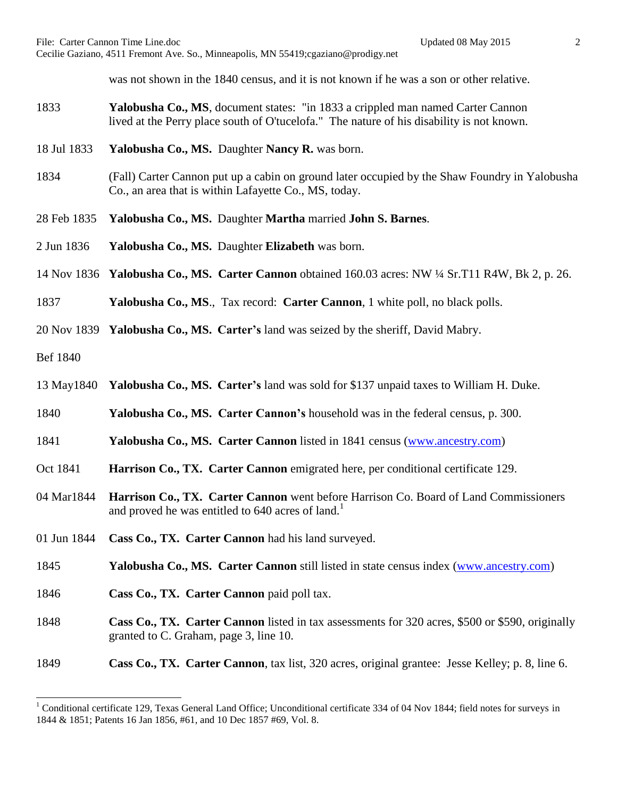was not shown in the 1840 census, and it is not known if he was a son or other relative.

- 1833 **Yalobusha Co., MS**, document states: "in 1833 a crippled man named Carter Cannon lived at the Perry place south of O'tucelofa." The nature of his disability is not known.
- 18 Jul 1833 **Yalobusha Co., MS.** Daughter **Nancy R.** was born.
- 1834 (Fall) Carter Cannon put up a cabin on ground later occupied by the Shaw Foundry in Yalobusha Co., an area that is within Lafayette Co., MS, today.
- 28 Feb 1835 **Yalobusha Co., MS.** Daughter **Martha** married **John S. Barnes**.
- 2 Jun 1836 **Yalobusha Co., MS.** Daughter **Elizabeth** was born.
- 14 Nov 1836 **Yalobusha Co., MS. Carter Cannon** obtained 160.03 acres: NW ¼ Sr.T11 R4W, Bk 2, p. 26.
- 1837 **Yalobusha Co., MS**., Tax record: **Carter Cannon**, 1 white poll, no black polls.
- 20 Nov 1839 **Yalobusha Co., MS. Carter's** land was seized by the sheriff, David Mabry.

Bef 1840

 $\overline{a}$ 

- 13 May1840 **Yalobusha Co., MS. Carter's** land was sold for \$137 unpaid taxes to William H. Duke.
- 1840 **Yalobusha Co., MS. Carter Cannon's** household was in the federal census, p. 300.
- 1841 **Yalobusha Co., MS. Carter Cannon** listed in 1841 census [\(www.ancestry.com\)](http://www.ancestry.com/)
- Oct 1841 **Harrison Co., TX. Carter Cannon** emigrated here, per conditional certificate 129.
- 04 Mar1844 **Harrison Co., TX. Carter Cannon** went before Harrison Co. Board of Land Commissioners and proved he was entitled to  $640$  acres of land.<sup>1</sup>
- 01 Jun 1844 **Cass Co., TX. Carter Cannon** had his land surveyed.
- 1845 **Yalobusha Co., MS. Carter Cannon** still listed in state census index [\(www.ancestry.com\)](http://www.ancestry.com/)
- 1846 **Cass Co., TX. Carter Cannon** paid poll tax.
- 1848 **Cass Co., TX. Carter Cannon** listed in tax assessments for 320 acres, \$500 or \$590, originally granted to C. Graham, page 3, line 10.
- 1849 **Cass Co., TX. Carter Cannon**, tax list, 320 acres, original grantee: Jesse Kelley; p. 8, line 6.

<sup>&</sup>lt;sup>1</sup> Conditional certificate 129, Texas General Land Office; Unconditional certificate 334 of 04 Nov 1844; field notes for surveys in 1844 & 1851; Patents 16 Jan 1856, #61, and 10 Dec 1857 #69, Vol. 8.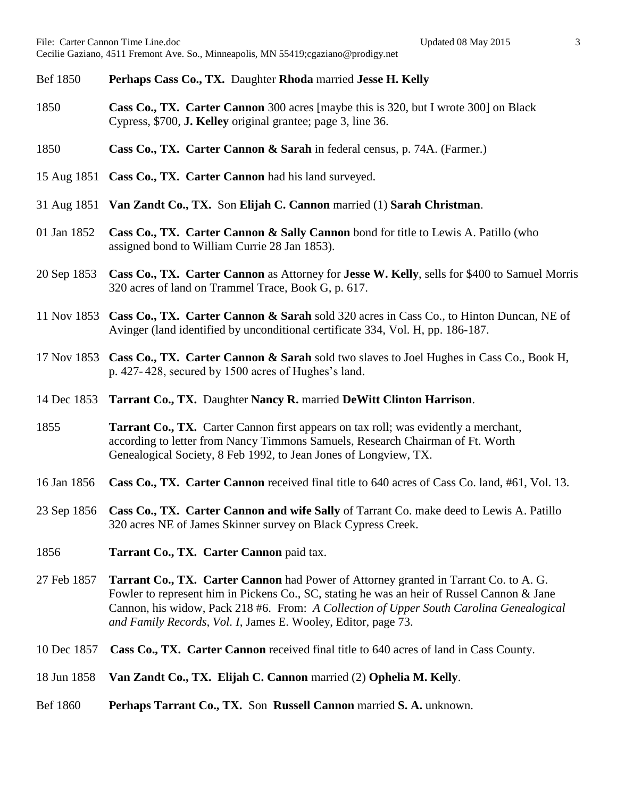- Bef 1850 **Perhaps Cass Co., TX.** Daughter **Rhoda** married **Jesse H. Kelly**
- 1850 **Cass Co., TX. Carter Cannon** 300 acres [maybe this is 320, but I wrote 300] on Black Cypress, \$700, **J. Kelley** original grantee; page 3, line 36.
- 1850 **Cass Co., TX. Carter Cannon & Sarah** in federal census, p. 74A. (Farmer.)
- 15 Aug 1851 **Cass Co., TX. Carter Cannon** had his land surveyed.
- 31 Aug 1851 **Van Zandt Co., TX.** Son **Elijah C. Cannon** married (1) **Sarah Christman**.
- 01 Jan 1852 **Cass Co., TX. Carter Cannon & Sally Cannon** bond for title to Lewis A. Patillo (who assigned bond to William Currie 28 Jan 1853).
- 20 Sep 1853 **Cass Co., TX. Carter Cannon** as Attorney for **Jesse W. Kelly**, sells for \$400 to Samuel Morris 320 acres of land on Trammel Trace, Book G, p. 617.
- 11 Nov 1853 **Cass Co., TX. Carter Cannon & Sarah** sold 320 acres in Cass Co., to Hinton Duncan, NE of Avinger (land identified by unconditional certificate 334, Vol. H, pp. 186-187.
- 17 Nov 1853 **Cass Co., TX. Carter Cannon & Sarah** sold two slaves to Joel Hughes in Cass Co., Book H, p. 427- 428, secured by 1500 acres of Hughes's land.
- 14 Dec 1853 **Tarrant Co., TX.** Daughter **Nancy R.** married **DeWitt Clinton Harrison**.
- 1855 **Tarrant Co., TX.** Carter Cannon first appears on tax roll; was evidently a merchant, according to letter from Nancy Timmons Samuels, Research Chairman of Ft. Worth Genealogical Society, 8 Feb 1992, to Jean Jones of Longview, TX.
- 16 Jan 1856 **Cass Co., TX. Carter Cannon** received final title to 640 acres of Cass Co. land, #61, Vol. 13.
- 23 Sep 1856 **Cass Co., TX. Carter Cannon and wife Sally** of Tarrant Co. make deed to Lewis A. Patillo 320 acres NE of James Skinner survey on Black Cypress Creek.
- 1856 **Tarrant Co., TX. Carter Cannon** paid tax.
- 27 Feb 1857 **Tarrant Co., TX. Carter Cannon** had Power of Attorney granted in Tarrant Co. to A. G. Fowler to represent him in Pickens Co., SC, stating he was an heir of Russel Cannon & Jane Cannon, his widow, Pack 218 #6. From: *A Collection of Upper South Carolina Genealogical and Family Records, Vol. I*, James E. Wooley, Editor, page 73.
- 10 Dec 1857 **Cass Co., TX. Carter Cannon** received final title to 640 acres of land in Cass County.
- 18 Jun 1858 **Van Zandt Co., TX. Elijah C. Cannon** married (2) **Ophelia M. Kelly**.
- Bef 1860 **Perhaps Tarrant Co., TX.** Son **Russell Cannon** married **S. A.** unknown.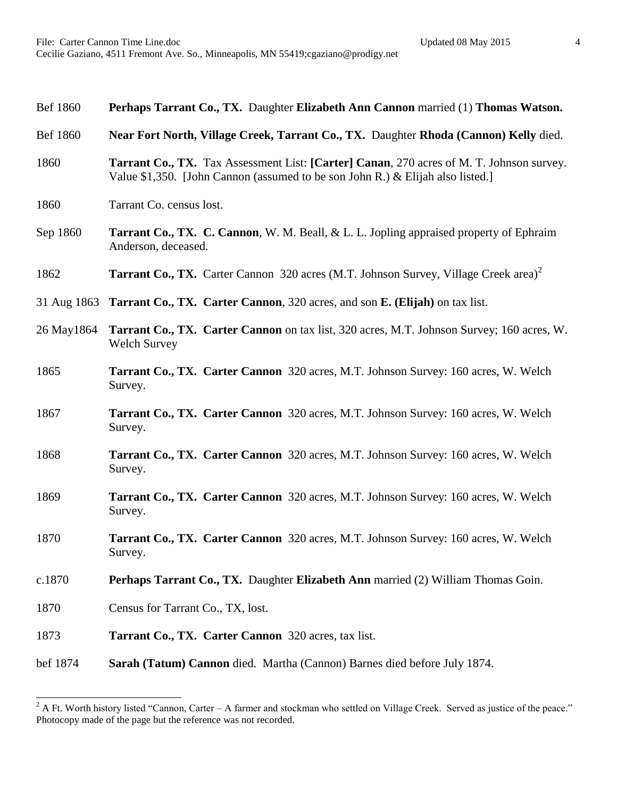| Perhaps Tarrant Co., TX. Daughter Elizabeth Ann Cannon married (1) Thomas Watson.                                                                                          |
|----------------------------------------------------------------------------------------------------------------------------------------------------------------------------|
| Near Fort North, Village Creek, Tarrant Co., TX. Daughter Rhoda (Cannon) Kelly died.                                                                                       |
| Tarrant Co., TX. Tax Assessment List: [Carter] Canan, 270 acres of M. T. Johnson survey.<br>Value \$1,350. [John Cannon (assumed to be son John R.) & Elijah also listed.] |
| Tarrant Co. census lost.                                                                                                                                                   |
| <b>Tarrant Co., TX. C. Cannon, W. M. Beall, &amp; L. L. Jopling appraised property of Ephraim</b><br>Anderson, deceased.                                                   |
| <b>Tarrant Co., TX.</b> Carter Cannon 320 acres (M.T. Johnson Survey, Village Creek area) <sup>2</sup>                                                                     |
| 31 Aug 1863 Tarrant Co., TX. Carter Cannon, 320 acres, and son E. (Elijah) on tax list.                                                                                    |
| Tarrant Co., TX. Carter Cannon on tax list, 320 acres, M.T. Johnson Survey; 160 acres, W.<br><b>Welch Survey</b>                                                           |
| Tarrant Co., TX. Carter Cannon 320 acres, M.T. Johnson Survey: 160 acres, W. Welch<br>Survey.                                                                              |
| <b>Tarrant Co., TX. Carter Cannon</b> 320 acres, M.T. Johnson Survey: 160 acres, W. Welch<br>Survey.                                                                       |
| Tarrant Co., TX. Carter Cannon 320 acres, M.T. Johnson Survey: 160 acres, W. Welch<br>Survey.                                                                              |
| <b>Tarrant Co., TX. Carter Cannon</b> 320 acres, M.T. Johnson Survey: 160 acres, W. Welch<br>Survey.                                                                       |
| Tarrant Co., TX. Carter Cannon 320 acres, M.T. Johnson Survey: 160 acres, W. Welch<br>Survey.                                                                              |
| Perhaps Tarrant Co., TX. Daughter Elizabeth Ann married (2) William Thomas Goin.                                                                                           |
| Census for Tarrant Co., TX, lost.                                                                                                                                          |
| Tarrant Co., TX. Carter Cannon 320 acres, tax list.                                                                                                                        |
| Sarah (Tatum) Cannon died. Martha (Cannon) Barnes died before July 1874.                                                                                                   |
|                                                                                                                                                                            |

 $\overline{a}$ 

 $2^2$  A Ft. Worth history listed "Cannon, Carter – A farmer and stockman who settled on Village Creek. Served as justice of the peace." Photocopy made of the page but the reference was not recorded.